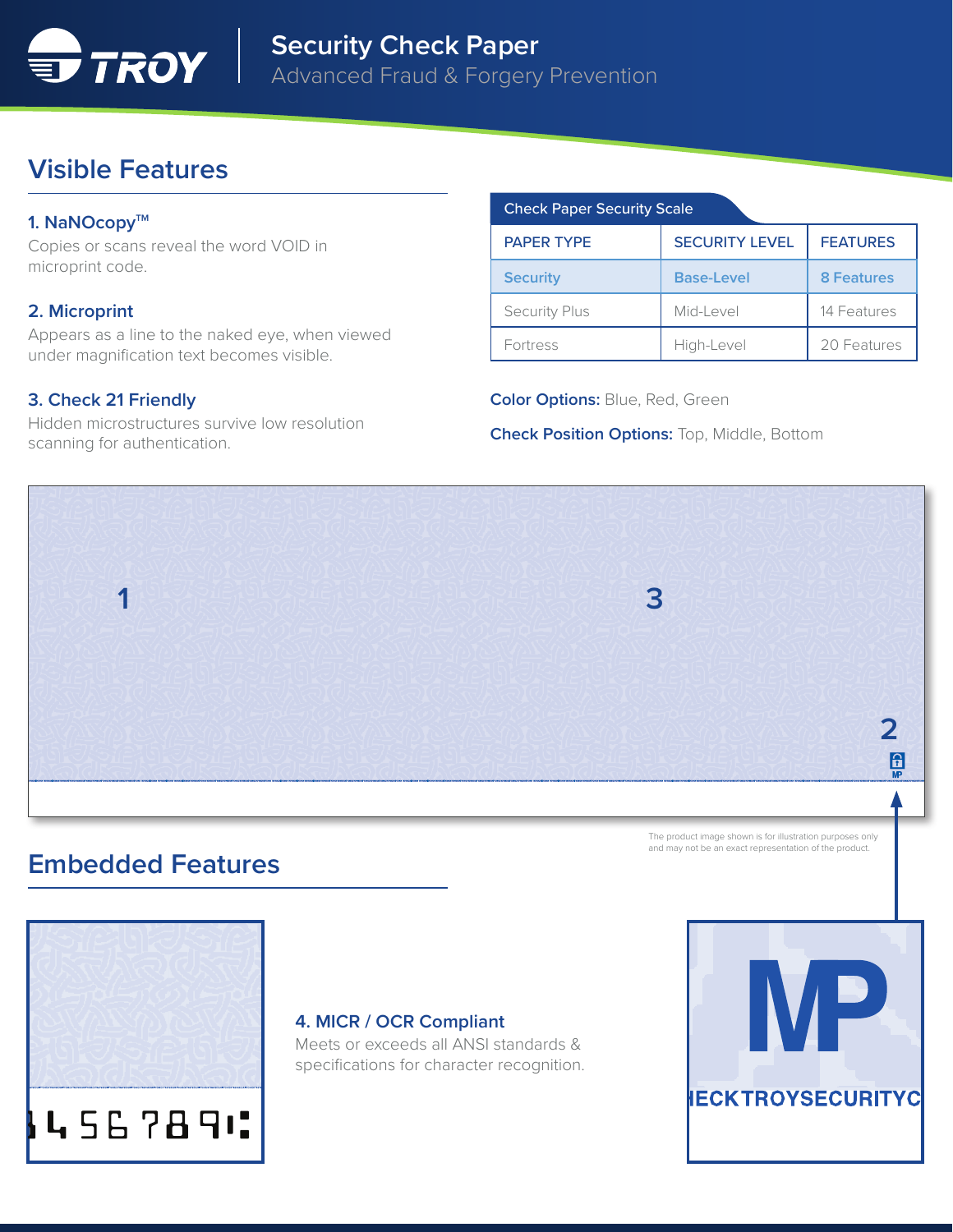

# **Visible Features**

### 1. NaNOcopy<sup>™</sup>

Copies or scans reveal the word VOID in microprint code.

### **2. Microprint**

Appears as a line to the naked eye, when viewed under magnification text becomes visible.

## **3. Check 21 Friendly**

Hidden microstructures survive low resolution scanning for authentication.

#### Check Paper Security Scale

| <b>PAPER TYPE</b>    | <b>SECURITY LEVEL</b> | <b>FEATURES</b>   |
|----------------------|-----------------------|-------------------|
| <b>Security</b>      | <b>Base-Level</b>     | <b>8 Features</b> |
| <b>Security Plus</b> | Mid-Level             | 14 Features       |
| Fortress             | High-Level            | 20 Features       |

**Color Options:** Blue, Red, Green

**Check Position Options:** Top, Middle, Bottom



## **Embedded Features**



#### **4. MICR / OCR Compliant**

Meets or exceeds all ANSI standards & specifications for character recognition.